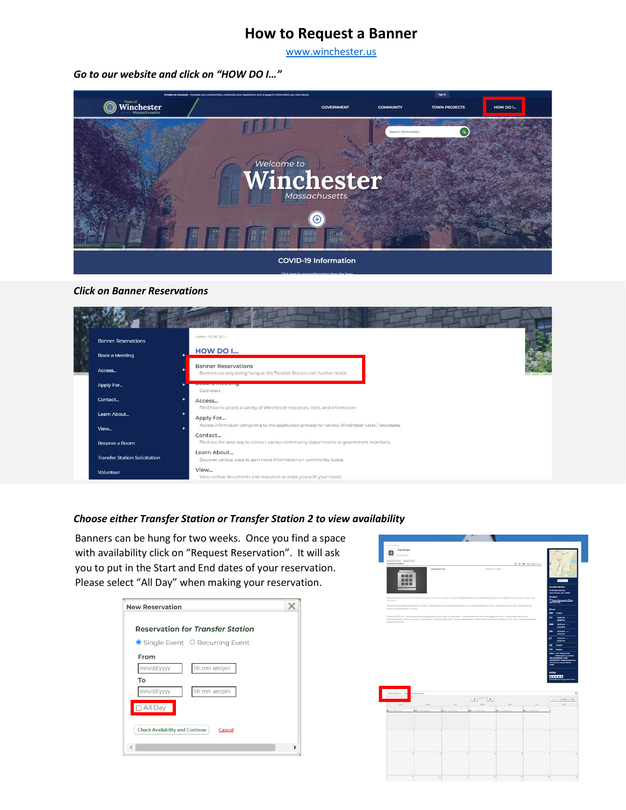## **How to Request a Banner**

[www.winchester.us](http://www.winchester.us/) 

*Go to our website and click on "HOW DO I…"*



## *Click on Banner Reservations*

|                                                                                                         | <b>Banner Reservations</b>           | Home > HOW DO I                                                                                                 |
|---------------------------------------------------------------------------------------------------------|--------------------------------------|-----------------------------------------------------------------------------------------------------------------|
|                                                                                                         | Book a Meeting                       | HOW DO I                                                                                                        |
|                                                                                                         | Access                               | <b>Banner Reservations</b><br>Banners are only being hung at the Transfer Station until further notice          |
|                                                                                                         | Apply For                            | <b>PASSAS AND MARKETING</b><br>Calendars                                                                        |
|                                                                                                         | Contact<br>٠                         | Access<br>Find how to access a variety of Winchester resources, tools, and information.                         |
|                                                                                                         | Learn About<br>٠                     | Apply For<br>Access information pertaining to the application process for various Winchester tasks / processes. |
|                                                                                                         | View                                 | Contact                                                                                                         |
| Find out the best way to contact various community departments or government members.<br>Reserve a Room |                                      |                                                                                                                 |
|                                                                                                         | <b>Transfer Station Solicitation</b> | Learn About<br>Discover various ways to gain more information on community topics.                              |
|                                                                                                         | Volunteer                            | View<br>View various documents and resources to assist you with your needs.                                     |

## *Choose either Transfer Station or Transfer Station 2 to view availability*

Banners can be hung for two weeks. Once you find a space with availability click on "Request Reservation". It will ask you to put in the Start and End dates of your reservation. Please select "All Day" when making your reservation.

| <b>New Reservation</b>                           |  |
|--------------------------------------------------|--|
| <b>Reservation for Transfer Station</b>          |  |
| <b>○</b> Single Event ○ Recurring Event          |  |
| From                                             |  |
| mm/dd/yyyy<br>hh:mm am/pm                        |  |
| To                                               |  |
| mm/dd/yyyy<br>hh:mm am/pm                        |  |
| $\Box$ All Day                                   |  |
| <b>Check Availability and Continue</b><br>Cancel |  |
|                                                  |  |